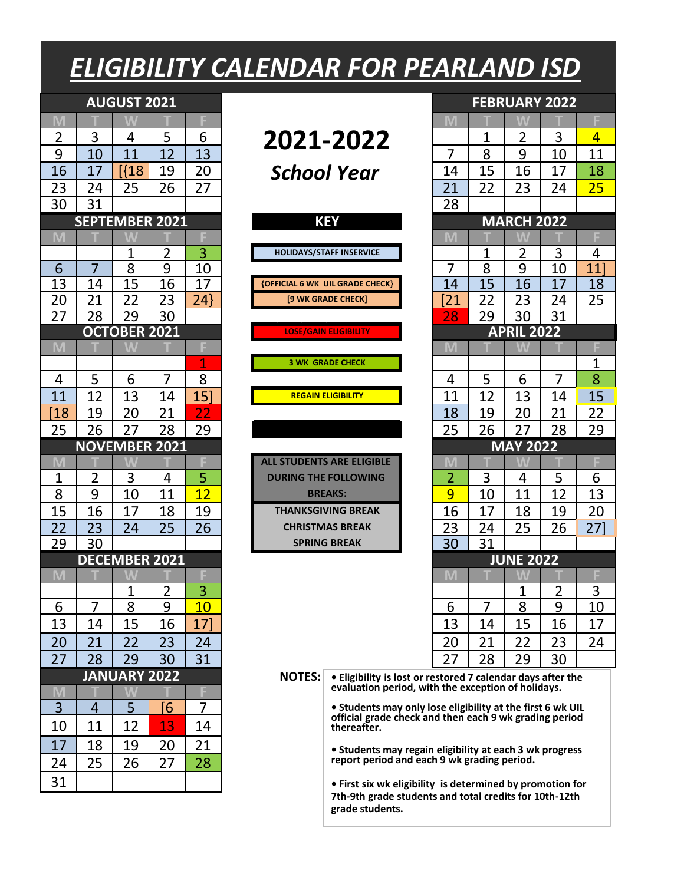## *ELIGIBILITY CALENDAR FOR PEARLAND ISD*

| M<br>3<br>5<br>3<br>$\overline{2}$<br>6<br>$\overline{2}$<br>2021-2022<br>1<br>4<br>9<br>8<br>7<br>10<br>11<br>12<br>13<br>9<br>10<br><b>R18</b><br>15<br>16<br>17<br>19<br>20<br>16<br>17<br>School Year<br>14<br>23<br>24<br>25<br>26<br>27<br>21<br>22<br>23<br>24<br>31<br>30<br>28<br><b>SEPTEMBER 2021</b><br><b>MARCH 2022</b><br><b>KEY</b><br>M<br>3<br>$\overline{2}$<br><b>HOLIDAYS/STAFF INSERVICE</b><br>3<br>1<br>1<br>2<br>9<br>8<br>8<br>9<br>10<br>7<br>7<br>6<br>10<br>13<br>15<br>17<br>15<br>17<br>14<br>16<br>14<br>16<br><b>{OFFICIAL 6 WK UIL GRADE CHECK}</b><br>21<br>22<br>23<br>24<br>22<br>24<br>20<br>[9 WK GRADE CHECK]<br>21<br>23<br>27<br>28<br>30<br>31<br>29<br>28<br>29<br>30<br><b>OCTOBER 2021</b><br><b>APRIL 2022</b><br><b>LOSE/GAIN ELIGIBILITY</b><br>M<br>M<br>1<br><b>3 WK GRADE CHECK</b><br>7<br>7<br>5<br>8<br>5<br>6<br>6<br>4<br>4<br>12<br>13<br>15]<br>12<br>11<br>11<br>13<br>14<br><b>REGAIN ELIGIBILITY</b><br>14<br>21<br>19<br>20<br>21<br>22<br>19<br>20<br>[18<br>18<br>26<br>27<br>28<br>26<br>27<br>28<br>25<br>29<br>25<br><b>MAY 2022</b><br><b>NOVEMBER 2021</b><br><b>ALL STUDENTS ARE ELIGIBLE</b><br>M<br>M<br>3<br>5<br>3<br>5<br>$\overline{2}$<br>2<br>$\mathbf 1$<br>4<br>4<br><b>DURING THE FOLLOWING</b><br>9<br>8<br>12<br>9<br>12<br>10<br>11<br>10<br>11<br><b>BREAKS:</b><br>15<br>16<br>17<br>19<br>17<br>18<br>19<br><b>THANKSGIVING BREAK</b><br>16<br>18<br>22<br>23<br>25<br>23<br>24<br>26<br>24<br>26<br>25<br><b>CHRISTMAS BREAK</b><br>29<br>30<br>30<br>31<br><b>SPRING BREAK</b><br><b>DECEMBER 2021</b><br><b>JUNE 2022</b><br>M<br>3<br>$\overline{2}$<br>1<br>2<br>1<br>7<br>9<br>7<br>8<br>9<br>8<br>6<br>10<br>6<br>13<br>15<br>16<br>17<br>13<br>15<br>16<br>14<br>14<br>21<br>22<br>23<br>24<br>20<br>21<br>22<br>23<br>20<br>27<br>28<br>29<br>30<br>31<br>27<br>28<br>29<br>30<br><b>JANUARY 2022</b><br><b>NOTES:</b><br>. Eligibility is lost or restored 7 calendar days after the<br>evaluation period, with the exception of holidays.<br>F<br>M<br>3<br>5<br>7<br>$\overline{4}$<br>[6<br>• Students may only lose eligibility at the first 6 wk UIL<br>official grade check and then each 9 wk grading period<br>11<br>12<br>13<br>10<br>14<br>thereafter.<br>17<br>18<br>19<br>21<br>20<br>• Students may regain eligibility at each 3 wk progress<br>report period and each 9 wk grading period.<br>25<br>27<br>28<br>26<br>24 |    | <b>AUGUST 2021</b> |  |  |  | <b>FEBRUARY 2022</b> |  |
|------------------------------------------------------------------------------------------------------------------------------------------------------------------------------------------------------------------------------------------------------------------------------------------------------------------------------------------------------------------------------------------------------------------------------------------------------------------------------------------------------------------------------------------------------------------------------------------------------------------------------------------------------------------------------------------------------------------------------------------------------------------------------------------------------------------------------------------------------------------------------------------------------------------------------------------------------------------------------------------------------------------------------------------------------------------------------------------------------------------------------------------------------------------------------------------------------------------------------------------------------------------------------------------------------------------------------------------------------------------------------------------------------------------------------------------------------------------------------------------------------------------------------------------------------------------------------------------------------------------------------------------------------------------------------------------------------------------------------------------------------------------------------------------------------------------------------------------------------------------------------------------------------------------------------------------------------------------------------------------------------------------------------------------------------------------------------------------------------------------------------------------------------------------------------------------------------------------------------------------------------------------------------------------------------------------------------------------------------------------------------------------------------------------------------------------|----|--------------------|--|--|--|----------------------|--|
|                                                                                                                                                                                                                                                                                                                                                                                                                                                                                                                                                                                                                                                                                                                                                                                                                                                                                                                                                                                                                                                                                                                                                                                                                                                                                                                                                                                                                                                                                                                                                                                                                                                                                                                                                                                                                                                                                                                                                                                                                                                                                                                                                                                                                                                                                                                                                                                                                                          |    |                    |  |  |  |                      |  |
|                                                                                                                                                                                                                                                                                                                                                                                                                                                                                                                                                                                                                                                                                                                                                                                                                                                                                                                                                                                                                                                                                                                                                                                                                                                                                                                                                                                                                                                                                                                                                                                                                                                                                                                                                                                                                                                                                                                                                                                                                                                                                                                                                                                                                                                                                                                                                                                                                                          |    |                    |  |  |  |                      |  |
|                                                                                                                                                                                                                                                                                                                                                                                                                                                                                                                                                                                                                                                                                                                                                                                                                                                                                                                                                                                                                                                                                                                                                                                                                                                                                                                                                                                                                                                                                                                                                                                                                                                                                                                                                                                                                                                                                                                                                                                                                                                                                                                                                                                                                                                                                                                                                                                                                                          |    |                    |  |  |  |                      |  |
|                                                                                                                                                                                                                                                                                                                                                                                                                                                                                                                                                                                                                                                                                                                                                                                                                                                                                                                                                                                                                                                                                                                                                                                                                                                                                                                                                                                                                                                                                                                                                                                                                                                                                                                                                                                                                                                                                                                                                                                                                                                                                                                                                                                                                                                                                                                                                                                                                                          |    |                    |  |  |  |                      |  |
|                                                                                                                                                                                                                                                                                                                                                                                                                                                                                                                                                                                                                                                                                                                                                                                                                                                                                                                                                                                                                                                                                                                                                                                                                                                                                                                                                                                                                                                                                                                                                                                                                                                                                                                                                                                                                                                                                                                                                                                                                                                                                                                                                                                                                                                                                                                                                                                                                                          |    |                    |  |  |  |                      |  |
|                                                                                                                                                                                                                                                                                                                                                                                                                                                                                                                                                                                                                                                                                                                                                                                                                                                                                                                                                                                                                                                                                                                                                                                                                                                                                                                                                                                                                                                                                                                                                                                                                                                                                                                                                                                                                                                                                                                                                                                                                                                                                                                                                                                                                                                                                                                                                                                                                                          |    |                    |  |  |  |                      |  |
|                                                                                                                                                                                                                                                                                                                                                                                                                                                                                                                                                                                                                                                                                                                                                                                                                                                                                                                                                                                                                                                                                                                                                                                                                                                                                                                                                                                                                                                                                                                                                                                                                                                                                                                                                                                                                                                                                                                                                                                                                                                                                                                                                                                                                                                                                                                                                                                                                                          |    |                    |  |  |  |                      |  |
|                                                                                                                                                                                                                                                                                                                                                                                                                                                                                                                                                                                                                                                                                                                                                                                                                                                                                                                                                                                                                                                                                                                                                                                                                                                                                                                                                                                                                                                                                                                                                                                                                                                                                                                                                                                                                                                                                                                                                                                                                                                                                                                                                                                                                                                                                                                                                                                                                                          |    |                    |  |  |  |                      |  |
|                                                                                                                                                                                                                                                                                                                                                                                                                                                                                                                                                                                                                                                                                                                                                                                                                                                                                                                                                                                                                                                                                                                                                                                                                                                                                                                                                                                                                                                                                                                                                                                                                                                                                                                                                                                                                                                                                                                                                                                                                                                                                                                                                                                                                                                                                                                                                                                                                                          |    |                    |  |  |  |                      |  |
|                                                                                                                                                                                                                                                                                                                                                                                                                                                                                                                                                                                                                                                                                                                                                                                                                                                                                                                                                                                                                                                                                                                                                                                                                                                                                                                                                                                                                                                                                                                                                                                                                                                                                                                                                                                                                                                                                                                                                                                                                                                                                                                                                                                                                                                                                                                                                                                                                                          |    |                    |  |  |  |                      |  |
|                                                                                                                                                                                                                                                                                                                                                                                                                                                                                                                                                                                                                                                                                                                                                                                                                                                                                                                                                                                                                                                                                                                                                                                                                                                                                                                                                                                                                                                                                                                                                                                                                                                                                                                                                                                                                                                                                                                                                                                                                                                                                                                                                                                                                                                                                                                                                                                                                                          |    |                    |  |  |  |                      |  |
|                                                                                                                                                                                                                                                                                                                                                                                                                                                                                                                                                                                                                                                                                                                                                                                                                                                                                                                                                                                                                                                                                                                                                                                                                                                                                                                                                                                                                                                                                                                                                                                                                                                                                                                                                                                                                                                                                                                                                                                                                                                                                                                                                                                                                                                                                                                                                                                                                                          |    |                    |  |  |  |                      |  |
|                                                                                                                                                                                                                                                                                                                                                                                                                                                                                                                                                                                                                                                                                                                                                                                                                                                                                                                                                                                                                                                                                                                                                                                                                                                                                                                                                                                                                                                                                                                                                                                                                                                                                                                                                                                                                                                                                                                                                                                                                                                                                                                                                                                                                                                                                                                                                                                                                                          |    |                    |  |  |  |                      |  |
|                                                                                                                                                                                                                                                                                                                                                                                                                                                                                                                                                                                                                                                                                                                                                                                                                                                                                                                                                                                                                                                                                                                                                                                                                                                                                                                                                                                                                                                                                                                                                                                                                                                                                                                                                                                                                                                                                                                                                                                                                                                                                                                                                                                                                                                                                                                                                                                                                                          |    |                    |  |  |  |                      |  |
|                                                                                                                                                                                                                                                                                                                                                                                                                                                                                                                                                                                                                                                                                                                                                                                                                                                                                                                                                                                                                                                                                                                                                                                                                                                                                                                                                                                                                                                                                                                                                                                                                                                                                                                                                                                                                                                                                                                                                                                                                                                                                                                                                                                                                                                                                                                                                                                                                                          |    |                    |  |  |  |                      |  |
|                                                                                                                                                                                                                                                                                                                                                                                                                                                                                                                                                                                                                                                                                                                                                                                                                                                                                                                                                                                                                                                                                                                                                                                                                                                                                                                                                                                                                                                                                                                                                                                                                                                                                                                                                                                                                                                                                                                                                                                                                                                                                                                                                                                                                                                                                                                                                                                                                                          |    |                    |  |  |  |                      |  |
|                                                                                                                                                                                                                                                                                                                                                                                                                                                                                                                                                                                                                                                                                                                                                                                                                                                                                                                                                                                                                                                                                                                                                                                                                                                                                                                                                                                                                                                                                                                                                                                                                                                                                                                                                                                                                                                                                                                                                                                                                                                                                                                                                                                                                                                                                                                                                                                                                                          |    |                    |  |  |  |                      |  |
|                                                                                                                                                                                                                                                                                                                                                                                                                                                                                                                                                                                                                                                                                                                                                                                                                                                                                                                                                                                                                                                                                                                                                                                                                                                                                                                                                                                                                                                                                                                                                                                                                                                                                                                                                                                                                                                                                                                                                                                                                                                                                                                                                                                                                                                                                                                                                                                                                                          |    |                    |  |  |  |                      |  |
|                                                                                                                                                                                                                                                                                                                                                                                                                                                                                                                                                                                                                                                                                                                                                                                                                                                                                                                                                                                                                                                                                                                                                                                                                                                                                                                                                                                                                                                                                                                                                                                                                                                                                                                                                                                                                                                                                                                                                                                                                                                                                                                                                                                                                                                                                                                                                                                                                                          |    |                    |  |  |  |                      |  |
|                                                                                                                                                                                                                                                                                                                                                                                                                                                                                                                                                                                                                                                                                                                                                                                                                                                                                                                                                                                                                                                                                                                                                                                                                                                                                                                                                                                                                                                                                                                                                                                                                                                                                                                                                                                                                                                                                                                                                                                                                                                                                                                                                                                                                                                                                                                                                                                                                                          |    |                    |  |  |  |                      |  |
|                                                                                                                                                                                                                                                                                                                                                                                                                                                                                                                                                                                                                                                                                                                                                                                                                                                                                                                                                                                                                                                                                                                                                                                                                                                                                                                                                                                                                                                                                                                                                                                                                                                                                                                                                                                                                                                                                                                                                                                                                                                                                                                                                                                                                                                                                                                                                                                                                                          |    |                    |  |  |  |                      |  |
|                                                                                                                                                                                                                                                                                                                                                                                                                                                                                                                                                                                                                                                                                                                                                                                                                                                                                                                                                                                                                                                                                                                                                                                                                                                                                                                                                                                                                                                                                                                                                                                                                                                                                                                                                                                                                                                                                                                                                                                                                                                                                                                                                                                                                                                                                                                                                                                                                                          |    |                    |  |  |  |                      |  |
|                                                                                                                                                                                                                                                                                                                                                                                                                                                                                                                                                                                                                                                                                                                                                                                                                                                                                                                                                                                                                                                                                                                                                                                                                                                                                                                                                                                                                                                                                                                                                                                                                                                                                                                                                                                                                                                                                                                                                                                                                                                                                                                                                                                                                                                                                                                                                                                                                                          |    |                    |  |  |  |                      |  |
|                                                                                                                                                                                                                                                                                                                                                                                                                                                                                                                                                                                                                                                                                                                                                                                                                                                                                                                                                                                                                                                                                                                                                                                                                                                                                                                                                                                                                                                                                                                                                                                                                                                                                                                                                                                                                                                                                                                                                                                                                                                                                                                                                                                                                                                                                                                                                                                                                                          |    |                    |  |  |  |                      |  |
|                                                                                                                                                                                                                                                                                                                                                                                                                                                                                                                                                                                                                                                                                                                                                                                                                                                                                                                                                                                                                                                                                                                                                                                                                                                                                                                                                                                                                                                                                                                                                                                                                                                                                                                                                                                                                                                                                                                                                                                                                                                                                                                                                                                                                                                                                                                                                                                                                                          |    |                    |  |  |  |                      |  |
|                                                                                                                                                                                                                                                                                                                                                                                                                                                                                                                                                                                                                                                                                                                                                                                                                                                                                                                                                                                                                                                                                                                                                                                                                                                                                                                                                                                                                                                                                                                                                                                                                                                                                                                                                                                                                                                                                                                                                                                                                                                                                                                                                                                                                                                                                                                                                                                                                                          |    |                    |  |  |  |                      |  |
|                                                                                                                                                                                                                                                                                                                                                                                                                                                                                                                                                                                                                                                                                                                                                                                                                                                                                                                                                                                                                                                                                                                                                                                                                                                                                                                                                                                                                                                                                                                                                                                                                                                                                                                                                                                                                                                                                                                                                                                                                                                                                                                                                                                                                                                                                                                                                                                                                                          |    |                    |  |  |  |                      |  |
|                                                                                                                                                                                                                                                                                                                                                                                                                                                                                                                                                                                                                                                                                                                                                                                                                                                                                                                                                                                                                                                                                                                                                                                                                                                                                                                                                                                                                                                                                                                                                                                                                                                                                                                                                                                                                                                                                                                                                                                                                                                                                                                                                                                                                                                                                                                                                                                                                                          |    |                    |  |  |  |                      |  |
|                                                                                                                                                                                                                                                                                                                                                                                                                                                                                                                                                                                                                                                                                                                                                                                                                                                                                                                                                                                                                                                                                                                                                                                                                                                                                                                                                                                                                                                                                                                                                                                                                                                                                                                                                                                                                                                                                                                                                                                                                                                                                                                                                                                                                                                                                                                                                                                                                                          |    |                    |  |  |  |                      |  |
|                                                                                                                                                                                                                                                                                                                                                                                                                                                                                                                                                                                                                                                                                                                                                                                                                                                                                                                                                                                                                                                                                                                                                                                                                                                                                                                                                                                                                                                                                                                                                                                                                                                                                                                                                                                                                                                                                                                                                                                                                                                                                                                                                                                                                                                                                                                                                                                                                                          |    |                    |  |  |  |                      |  |
|                                                                                                                                                                                                                                                                                                                                                                                                                                                                                                                                                                                                                                                                                                                                                                                                                                                                                                                                                                                                                                                                                                                                                                                                                                                                                                                                                                                                                                                                                                                                                                                                                                                                                                                                                                                                                                                                                                                                                                                                                                                                                                                                                                                                                                                                                                                                                                                                                                          |    |                    |  |  |  |                      |  |
|                                                                                                                                                                                                                                                                                                                                                                                                                                                                                                                                                                                                                                                                                                                                                                                                                                                                                                                                                                                                                                                                                                                                                                                                                                                                                                                                                                                                                                                                                                                                                                                                                                                                                                                                                                                                                                                                                                                                                                                                                                                                                                                                                                                                                                                                                                                                                                                                                                          |    |                    |  |  |  |                      |  |
|                                                                                                                                                                                                                                                                                                                                                                                                                                                                                                                                                                                                                                                                                                                                                                                                                                                                                                                                                                                                                                                                                                                                                                                                                                                                                                                                                                                                                                                                                                                                                                                                                                                                                                                                                                                                                                                                                                                                                                                                                                                                                                                                                                                                                                                                                                                                                                                                                                          |    |                    |  |  |  |                      |  |
|                                                                                                                                                                                                                                                                                                                                                                                                                                                                                                                                                                                                                                                                                                                                                                                                                                                                                                                                                                                                                                                                                                                                                                                                                                                                                                                                                                                                                                                                                                                                                                                                                                                                                                                                                                                                                                                                                                                                                                                                                                                                                                                                                                                                                                                                                                                                                                                                                                          |    |                    |  |  |  |                      |  |
|                                                                                                                                                                                                                                                                                                                                                                                                                                                                                                                                                                                                                                                                                                                                                                                                                                                                                                                                                                                                                                                                                                                                                                                                                                                                                                                                                                                                                                                                                                                                                                                                                                                                                                                                                                                                                                                                                                                                                                                                                                                                                                                                                                                                                                                                                                                                                                                                                                          |    |                    |  |  |  |                      |  |
|                                                                                                                                                                                                                                                                                                                                                                                                                                                                                                                                                                                                                                                                                                                                                                                                                                                                                                                                                                                                                                                                                                                                                                                                                                                                                                                                                                                                                                                                                                                                                                                                                                                                                                                                                                                                                                                                                                                                                                                                                                                                                                                                                                                                                                                                                                                                                                                                                                          |    |                    |  |  |  |                      |  |
|                                                                                                                                                                                                                                                                                                                                                                                                                                                                                                                                                                                                                                                                                                                                                                                                                                                                                                                                                                                                                                                                                                                                                                                                                                                                                                                                                                                                                                                                                                                                                                                                                                                                                                                                                                                                                                                                                                                                                                                                                                                                                                                                                                                                                                                                                                                                                                                                                                          |    |                    |  |  |  |                      |  |
|                                                                                                                                                                                                                                                                                                                                                                                                                                                                                                                                                                                                                                                                                                                                                                                                                                                                                                                                                                                                                                                                                                                                                                                                                                                                                                                                                                                                                                                                                                                                                                                                                                                                                                                                                                                                                                                                                                                                                                                                                                                                                                                                                                                                                                                                                                                                                                                                                                          |    |                    |  |  |  |                      |  |
|                                                                                                                                                                                                                                                                                                                                                                                                                                                                                                                                                                                                                                                                                                                                                                                                                                                                                                                                                                                                                                                                                                                                                                                                                                                                                                                                                                                                                                                                                                                                                                                                                                                                                                                                                                                                                                                                                                                                                                                                                                                                                                                                                                                                                                                                                                                                                                                                                                          |    |                    |  |  |  |                      |  |
| • First six wk eligibility is determined by promotion for<br>7th-9th grade students and total credits for 10th-12th                                                                                                                                                                                                                                                                                                                                                                                                                                                                                                                                                                                                                                                                                                                                                                                                                                                                                                                                                                                                                                                                                                                                                                                                                                                                                                                                                                                                                                                                                                                                                                                                                                                                                                                                                                                                                                                                                                                                                                                                                                                                                                                                                                                                                                                                                                                      | 31 |                    |  |  |  |                      |  |

| <b>KEY</b>                             |
|----------------------------------------|
|                                        |
| <b>HOLIDAYS/STAFF INSERVICE</b>        |
|                                        |
| <b>{OFFICIAL 6 WK UIL GRADE CHECK}</b> |
| [9 WK GRADE CHECK]                     |
|                                        |
| <b>LOSE/GAIN ELIGIBILITY</b>           |
|                                        |
| <b>3 WK GRADE CHECK</b>                |
|                                        |
| <b>REGAIN ELIGIBILITY</b>              |
|                                        |
|                                        |
|                                        |
| <b>ALL STUDENTS ARE ELIGIBLE</b>       |
| <b>DURING THE FOLLOWING</b>            |
| <b>BREAKS:</b>                         |
| <b>THANKSGIVING BREAK</b>              |
| <b>CHRISTMAS BREAK</b>                 |
| <b>SPRING BREAK</b>                    |
|                                        |
|                                        |
|                                        |

|                |    | <b>AUGUST 2021</b>    |                |    |                                        | <b>FEBRUARY 2022</b> |                |                   |        |         |
|----------------|----|-----------------------|----------------|----|----------------------------------------|----------------------|----------------|-------------------|--------|---------|
|                |    |                       |                |    |                                        | IM                   |                |                   |        |         |
| $\overline{2}$ | 3  | 4                     | 5              | 6  | 2021-2022                              |                      | 1              | $\overline{2}$    | 3      | 4       |
| 9              | 10 | 11                    | 12             | 13 |                                        | 7                    | 8              | 9                 | 10     | 11      |
| 16             | 17 | [18]                  | 19             | 20 | <b>School Year</b>                     | 14                   | 15             | 16                | 17     | 18      |
| 23             | 24 | 25                    | 26             | 27 |                                        | 21                   | 22             | 23                | 24     | 25      |
| 30             | 31 |                       |                |    |                                        | 28                   |                |                   |        |         |
|                |    | <b>SEPTEMBER 2021</b> |                |    | <b>KEY</b>                             |                      |                | <b>MARCH 2022</b> |        |         |
|                |    |                       |                |    |                                        | M                    |                |                   |        |         |
|                |    | 1                     | 2              | 3  | <b>HOLIDAYS/STAFF INSERVICE</b>        |                      | 1              | 2                 | 3      | 4       |
| 6              | 7  | 8                     | $\overline{9}$ | 10 |                                        | 7                    | $\overline{8}$ | 9                 | 10     | 11      |
| 13             | 14 | 15                    | 16             | 17 | <b>{OFFICIAL 6 WK UIL GRADE CHECK}</b> | 14                   | 15             | 16                | 17     | 18      |
| 20             | 21 | 22                    | 23             | 24 | [9 WK GRADE CHECK]                     | [21]                 | 22             | 23                | 24     | 25      |
| 27             | 28 | 29                    | 30             |    |                                        | 28                   | 29             | 30                | 31     |         |
|                |    | <b>OCTOBER 2021</b>   |                |    | <b>LOSE/GAIN ELIGIBILITY</b>           | <b>APRIL 2022</b>    |                |                   |        |         |
| M              |    |                       |                |    |                                        | M                    |                | VAV/              |        |         |
|                |    |                       |                | 1  | <b>3 WK GRADE CHECK</b>                |                      |                |                   |        | 1       |
| 4              | 5  | 6                     | 7              | 8  |                                        | 4                    | 5              | 6                 | 7      | 8       |
| 11             | 12 | 13                    | 14             | 15 | <b>REGAIN ELIGIBILITY</b>              | 11                   | 12             | 13                | 14     | 15      |
| [18]           | 19 | 20                    | 21             | 22 |                                        | 18                   | 19             | 20                | 21     | 22      |
| 25             | 26 | 27                    | 28             | 29 |                                        | 25                   | 26             | 27                | 28     | 29      |
|                |    | <b>NOVEMBER 2021</b>  |                |    |                                        |                      |                | <b>MAY 2022</b>   |        |         |
|                |    |                       |                |    | <b>ALL STUDENTS ARE ELIGIBLE</b>       | M                    |                |                   |        |         |
| $\mathbf 1$    | 2  | 3                     | 4              | 5  | <b>DURING THE FOLLOWING</b>            | $\overline{2}$       | 3              | 4                 | 5      | 6       |
| 8              | 9  | 10                    | 11             | 12 | <b>BREAKS:</b>                         | 9                    | 10             | 11                | 12     | 13      |
| 15             | 16 | 17                    | 18             | 19 | <b>THANKSGIVING BREAK</b>              | 16                   | 17             | 18                | 19     | 20      |
| 22             | 23 | 24                    | 25             | 26 | <b>CHRISTMAS BREAK</b>                 | 23                   | 24             | 25                | 26     | 27]     |
| 29             | 30 |                       |                |    | <b>SPRING BREAK</b>                    | 30                   | 31             |                   |        |         |
|                |    | <b>DECEMBER 2021</b>  |                |    |                                        |                      |                | <b>JUNE 2022</b>  |        |         |
| M              |    |                       |                | 3  |                                        | M                    |                |                   |        |         |
| 6              | 7  | 1<br>8                | 2<br>9         | 10 |                                        | 6                    | 7              | 1<br>8            | 2<br>9 | 3<br>10 |
| 13             | 14 | 15                    | 16             | 17 |                                        | 13                   | 14             | 15                | 16     | 17      |
|                |    |                       |                |    |                                        |                      |                |                   |        |         |
| 20             | 21 | 22                    | 23             | 24 |                                        | 20                   | 21             | 22                | 23     | 24      |
| 27             | 28 | 29                    | 30             | 31 |                                        | 27                   | 28             | 29                | 30     |         |

**• First six wk eligibility is determined by promotion for 7th-9th grade students and total credits for 10th-12th grade students.**